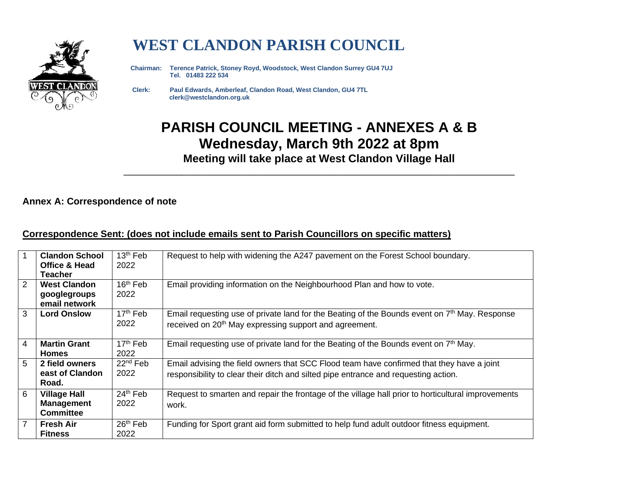

# **WEST CLANDON PARISH COUNCIL**

 **Chairman: Terence Patrick, Stoney Royd, Woodstock, West Clandon Surrey GU4 7UJ Tel. 01483 222 534** 

 **Clerk: Paul Edwards, Amberleaf, Clandon Road, West Clandon, GU4 7TL clerk@westclandon.org.uk**

## **PARISH COUNCIL MEETING - ANNEXES A & B Wednesday, March 9th 2022 at 8pm Meeting will take place at West Clandon Village Hall**

\_\_\_\_\_\_\_\_\_\_\_\_\_\_\_\_\_\_\_\_\_\_\_\_\_\_\_\_\_\_\_\_\_\_\_\_\_\_\_\_\_\_\_\_\_\_\_\_\_\_\_\_\_\_\_\_\_\_\_\_\_\_\_\_\_\_\_\_\_\_\_\_\_\_

#### **Annex A: Correspondence of note**

#### **Correspondence Sent: (does not include emails sent to Parish Councillors on specific matters)**

|                | <b>Clandon School</b>    | 13 <sup>th</sup> Feb | Request to help with widening the A247 pavement on the Forest School boundary.                     |  |  |
|----------------|--------------------------|----------------------|----------------------------------------------------------------------------------------------------|--|--|
|                | <b>Office &amp; Head</b> | 2022                 |                                                                                                    |  |  |
|                | <b>Teacher</b>           |                      |                                                                                                    |  |  |
| 2              | <b>West Clandon</b>      | 16 <sup>th</sup> Feb | Email providing information on the Neighbourhood Plan and how to vote.                             |  |  |
|                | googlegroups             | 2022                 |                                                                                                    |  |  |
|                | email network            |                      |                                                                                                    |  |  |
| 3              | <b>Lord Onslow</b>       | 17 <sup>th</sup> Feb | Email requesting use of private land for the Beating of the Bounds event on $7th$ May. Response    |  |  |
|                |                          | 2022                 | received on 20 <sup>th</sup> May expressing support and agreement.                                 |  |  |
|                |                          |                      |                                                                                                    |  |  |
| $\overline{4}$ | <b>Martin Grant</b>      | $17th$ Feb           | Email requesting use of private land for the Beating of the Bounds event on $7th$ May.             |  |  |
|                | <b>Homes</b>             | 2022                 |                                                                                                    |  |  |
| 5              | 2 field owners           | 22 <sup>nd</sup> Feb | Email advising the field owners that SCC Flood team have confirmed that they have a joint          |  |  |
|                | east of Clandon          | 2022                 | responsibility to clear their ditch and silted pipe entrance and requesting action.                |  |  |
|                | Road.                    |                      |                                                                                                    |  |  |
| 6              | <b>Village Hall</b>      | 24th Feb             | Request to smarten and repair the frontage of the village hall prior to horticultural improvements |  |  |
|                | <b>Management</b>        | 2022                 | work.                                                                                              |  |  |
|                | <b>Committee</b>         |                      |                                                                                                    |  |  |
| $\overline{7}$ | <b>Fresh Air</b>         | $26th$ Feb           | Funding for Sport grant aid form submitted to help fund adult outdoor fitness equipment.           |  |  |
|                | <b>Fitness</b>           | 2022                 |                                                                                                    |  |  |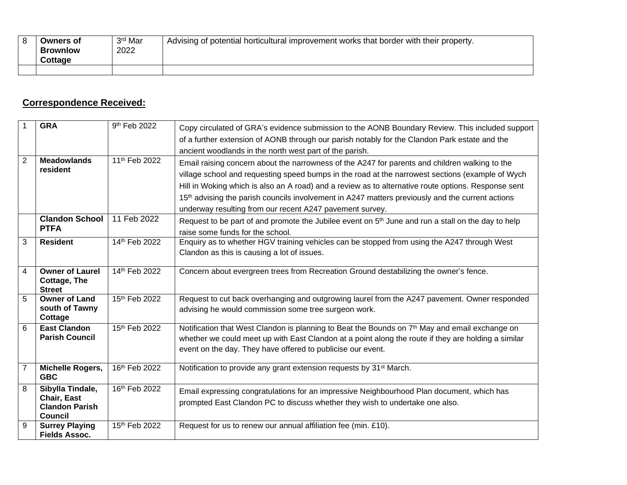| Owners of       | 3 <sup>rd</sup> Mar | Advising of potential horticultural improvement works that border with their property. |
|-----------------|---------------------|----------------------------------------------------------------------------------------|
| <b>Brownlow</b> | 2022                |                                                                                        |
| <b>Cottage</b>  |                     |                                                                                        |
|                 |                     |                                                                                        |

### **Correspondence Received:**

|                | <b>GRA</b>                                                     | 9 <sup>th</sup> Feb 2022  | Copy circulated of GRA's evidence submission to the AONB Boundary Review. This included support                                                                                                                                                                                  |
|----------------|----------------------------------------------------------------|---------------------------|----------------------------------------------------------------------------------------------------------------------------------------------------------------------------------------------------------------------------------------------------------------------------------|
|                |                                                                |                           | of a further extension of AONB through our parish notably for the Clandon Park estate and the                                                                                                                                                                                    |
|                |                                                                |                           | ancient woodlands in the north west part of the parish.                                                                                                                                                                                                                          |
| $\overline{2}$ | <b>Meadowlands</b>                                             | 11 <sup>th</sup> Feb 2022 | Email raising concern about the narrowness of the A247 for parents and children walking to the                                                                                                                                                                                   |
|                | resident                                                       |                           | village school and requesting speed bumps in the road at the narrowest sections (example of Wych                                                                                                                                                                                 |
|                |                                                                |                           | Hill in Woking which is also an A road) and a review as to alternative route options. Response sent                                                                                                                                                                              |
|                |                                                                |                           | 15 <sup>th</sup> advising the parish councils involvement in A247 matters previously and the current actions                                                                                                                                                                     |
|                |                                                                |                           | underway resulting from our recent A247 pavement survey.                                                                                                                                                                                                                         |
|                | <b>Clandon School</b>                                          | 11 Feb 2022               | Request to be part of and promote the Jubilee event on $5th$ June and run a stall on the day to help                                                                                                                                                                             |
| <b>PTFA</b>    |                                                                |                           | raise some funds for the school.                                                                                                                                                                                                                                                 |
| 3              | <b>Resident</b>                                                | 14th Feb 2022             | Enquiry as to whether HGV training vehicles can be stopped from using the A247 through West                                                                                                                                                                                      |
|                |                                                                |                           | Clandon as this is causing a lot of issues.                                                                                                                                                                                                                                      |
| $\overline{4}$ | <b>Owner of Laurel</b><br><b>Cottage, The</b><br><b>Street</b> | 14th Feb 2022             | Concern about evergreen trees from Recreation Ground destabilizing the owner's fence.                                                                                                                                                                                            |
| 5              | <b>Owner of Land</b><br>south of Tawny<br>Cottage              | 15th Feb 2022             | Request to cut back overhanging and outgrowing laurel from the A247 pavement. Owner responded<br>advising he would commission some tree surgeon work.                                                                                                                            |
| 6              | <b>East Clandon</b><br><b>Parish Council</b>                   | 15th Feb 2022             | Notification that West Clandon is planning to Beat the Bounds on 7 <sup>th</sup> May and email exchange on<br>whether we could meet up with East Clandon at a point along the route if they are holding a similar<br>event on the day. They have offered to publicise our event. |
|                | Michelle Rogers,<br><b>GBC</b>                                 | 16th Feb 2022             | Notification to provide any grant extension requests by 31 <sup>st</sup> March.                                                                                                                                                                                                  |
| 8              | Sibylla Tindale,                                               | 16th Feb 2022             | Email expressing congratulations for an impressive Neighbourhood Plan document, which has                                                                                                                                                                                        |
|                | Chair, East<br><b>Clandon Parish</b><br><b>Council</b>         |                           | prompted East Clandon PC to discuss whether they wish to undertake one also.                                                                                                                                                                                                     |
| 9              | <b>Surrey Playing</b>                                          | 15th Feb 2022             | Request for us to renew our annual affiliation fee (min. £10).                                                                                                                                                                                                                   |
|                | <b>Fields Assoc.</b>                                           |                           |                                                                                                                                                                                                                                                                                  |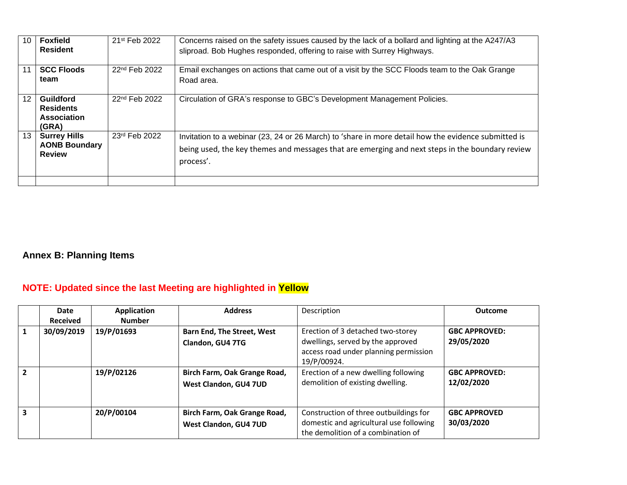| 10 | <b>Foxfield</b><br><b>Resident</b>                           | 21 <sup>st</sup> Feb 2022 | Concerns raised on the safety issues caused by the lack of a bollard and lighting at the A247/A3<br>sliproad. Bob Hughes responded, offering to raise with Surrey Highways.                                         |
|----|--------------------------------------------------------------|---------------------------|---------------------------------------------------------------------------------------------------------------------------------------------------------------------------------------------------------------------|
| 11 | <b>SCC Floods</b><br>team                                    | 22 <sup>nd</sup> Feb 2022 | Email exchanges on actions that came out of a visit by the SCC Floods team to the Oak Grange<br>Road area.                                                                                                          |
| 12 | Guildford<br><b>Residents</b><br>Association<br>(GRA)        | 22 <sup>nd</sup> Feb 2022 | Circulation of GRA's response to GBC's Development Management Policies.                                                                                                                                             |
| 13 | <b>Surrey Hills</b><br><b>AONB Boundary</b><br><b>Review</b> | 23rd Feb 2022             | Invitation to a webinar (23, 24 or 26 March) to 'share in more detail how the evidence submitted is<br>being used, the key themes and messages that are emerging and next steps in the boundary review<br>process'. |
|    |                                                              |                           |                                                                                                                                                                                                                     |

### **Annex B: Planning Items**

### **NOTE: Updated since the last Meeting are highlighted in Yellow**

|                         | Date<br><b>Received</b> | Application<br><b>Number</b> | <b>Address</b>                                        | Description                                                                                                                    | <b>Outcome</b>                     |
|-------------------------|-------------------------|------------------------------|-------------------------------------------------------|--------------------------------------------------------------------------------------------------------------------------------|------------------------------------|
|                         | 30/09/2019              | 19/P/01693                   | <b>Barn End, The Street, West</b><br>Clandon, GU4 7TG | Erection of 3 detached two-storey<br>dwellings, served by the approved<br>access road under planning permission<br>19/P/00924. | <b>GBC APPROVED:</b><br>29/05/2020 |
| $\overline{\mathbf{z}}$ |                         | 19/P/02126                   | Birch Farm, Oak Grange Road,<br>West Clandon, GU4 7UD | Erection of a new dwelling following<br>demolition of existing dwelling.                                                       | <b>GBC APPROVED:</b><br>12/02/2020 |
| ર                       |                         | 20/P/00104                   | Birch Farm, Oak Grange Road,<br>West Clandon, GU4 7UD | Construction of three outbuildings for<br>domestic and agricultural use following<br>the demolition of a combination of        | <b>GBC APPROVED</b><br>30/03/2020  |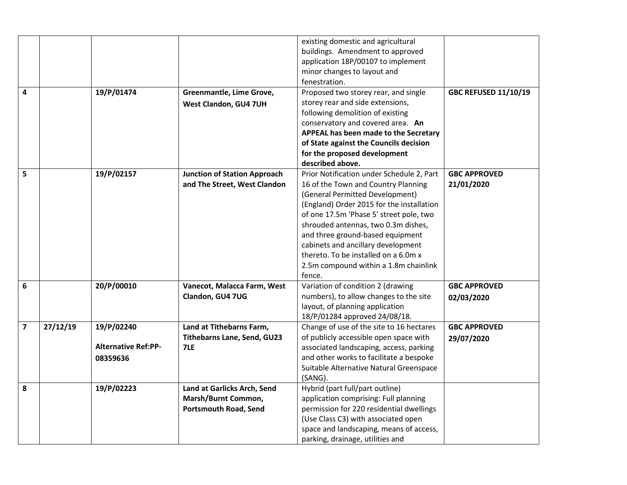|                         |          |                            |                                     | existing domestic and agricultural<br>buildings. Amendment to approved<br>application 18P/00107 to implement<br>minor changes to layout and<br>fenestration. |                             |
|-------------------------|----------|----------------------------|-------------------------------------|--------------------------------------------------------------------------------------------------------------------------------------------------------------|-----------------------------|
| 4                       |          | 19/P/01474                 | Greenmantle, Lime Grove,            | Proposed two storey rear, and single                                                                                                                         | <b>GBC REFUSED 11/10/19</b> |
|                         |          |                            | West Clandon, GU4 7UH               | storey rear and side extensions,                                                                                                                             |                             |
|                         |          |                            |                                     | following demolition of existing                                                                                                                             |                             |
|                         |          |                            |                                     | conservatory and covered area. An                                                                                                                            |                             |
|                         |          |                            |                                     | APPEAL has been made to the Secretary                                                                                                                        |                             |
|                         |          |                            |                                     | of State against the Councils decision                                                                                                                       |                             |
|                         |          |                            |                                     | for the proposed development                                                                                                                                 |                             |
|                         |          |                            |                                     | described above.                                                                                                                                             |                             |
| 5                       |          | 19/P/02157                 | <b>Junction of Station Approach</b> | Prior Notification under Schedule 2, Part                                                                                                                    | <b>GBC APPROVED</b>         |
|                         |          |                            | and The Street, West Clandon        | 16 of the Town and Country Planning                                                                                                                          | 21/01/2020                  |
|                         |          |                            |                                     | (General Permitted Development)                                                                                                                              |                             |
|                         |          |                            |                                     | (England) Order 2015 for the installation                                                                                                                    |                             |
|                         |          |                            |                                     | of one 17.5m 'Phase 5' street pole, two<br>shrouded antennas, two 0.3m dishes,                                                                               |                             |
|                         |          |                            |                                     | and three ground-based equipment                                                                                                                             |                             |
|                         |          |                            |                                     | cabinets and ancillary development                                                                                                                           |                             |
|                         |          |                            |                                     | thereto. To be installed on a 6.0m x                                                                                                                         |                             |
|                         |          |                            |                                     | 2.5m compound within a 1.8m chainlink                                                                                                                        |                             |
|                         |          |                            |                                     | fence.                                                                                                                                                       |                             |
| 6                       |          | 20/P/00010                 | Vanecot, Malacca Farm, West         | Variation of condition 2 (drawing                                                                                                                            | <b>GBC APPROVED</b>         |
|                         |          |                            | Clandon, GU4 7UG                    | numbers), to allow changes to the site                                                                                                                       | 02/03/2020                  |
|                         |          |                            |                                     | layout, of planning application                                                                                                                              |                             |
|                         |          |                            |                                     | 18/P/01284 approved 24/08/18.                                                                                                                                |                             |
| $\overline{\mathbf{z}}$ | 27/12/19 | 19/P/02240                 | Land at Tithebarns Farm,            | Change of use of the site to 16 hectares                                                                                                                     | <b>GBC APPROVED</b>         |
|                         |          |                            | Tithebarns Lane, Send, GU23         | of publicly accessible open space with                                                                                                                       | 29/07/2020                  |
|                         |          | <b>Alternative Ref:PP-</b> | 7LE                                 | associated landscaping, access, parking                                                                                                                      |                             |
|                         |          | 08359636                   |                                     | and other works to facilitate a bespoke                                                                                                                      |                             |
|                         |          |                            |                                     | Suitable Alternative Natural Greenspace                                                                                                                      |                             |
|                         |          |                            |                                     | (SANG).                                                                                                                                                      |                             |
| 8                       |          | 19/P/02223                 | Land at Garlicks Arch, Send         | Hybrid (part full/part outline)                                                                                                                              |                             |
|                         |          |                            | Marsh/Burnt Common,                 | application comprising: Full planning                                                                                                                        |                             |
|                         |          |                            | <b>Portsmouth Road, Send</b>        | permission for 220 residential dwellings                                                                                                                     |                             |
|                         |          |                            |                                     | (Use Class C3) with associated open                                                                                                                          |                             |
|                         |          |                            |                                     | space and landscaping, means of access,                                                                                                                      |                             |
|                         |          |                            |                                     | parking, drainage, utilities and                                                                                                                             |                             |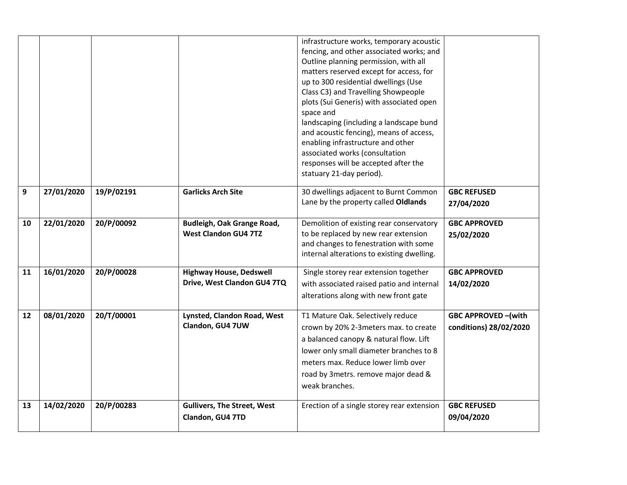|    |            |            |                                                               | infrastructure works, temporary acoustic<br>fencing, and other associated works; and<br>Outline planning permission, with all<br>matters reserved except for access, for<br>up to 300 residential dwellings (Use<br>Class C3) and Travelling Showpeople<br>plots (Sui Generis) with associated open<br>space and<br>landscaping (including a landscape bund<br>and acoustic fencing), means of access,<br>enabling infrastructure and other<br>associated works (consultation<br>responses will be accepted after the<br>statuary 21-day period). |                                                     |
|----|------------|------------|---------------------------------------------------------------|---------------------------------------------------------------------------------------------------------------------------------------------------------------------------------------------------------------------------------------------------------------------------------------------------------------------------------------------------------------------------------------------------------------------------------------------------------------------------------------------------------------------------------------------------|-----------------------------------------------------|
| 9  | 27/01/2020 | 19/P/02191 | <b>Garlicks Arch Site</b>                                     | 30 dwellings adjacent to Burnt Common<br>Lane by the property called Oldlands                                                                                                                                                                                                                                                                                                                                                                                                                                                                     | <b>GBC REFUSED</b><br>27/04/2020                    |
| 10 | 22/01/2020 | 20/P/00092 | Budleigh, Oak Grange Road,<br><b>West Clandon GU4 7TZ</b>     | Demolition of existing rear conservatory<br>to be replaced by new rear extension<br>and changes to fenestration with some<br>internal alterations to existing dwelling.                                                                                                                                                                                                                                                                                                                                                                           | <b>GBC APPROVED</b><br>25/02/2020                   |
| 11 | 16/01/2020 | 20/P/00028 | <b>Highway House, Dedswell</b><br>Drive, West Clandon GU4 7TQ | Single storey rear extension together<br>with associated raised patio and internal<br>alterations along with new front gate                                                                                                                                                                                                                                                                                                                                                                                                                       | <b>GBC APPROVED</b><br>14/02/2020                   |
| 12 | 08/01/2020 | 20/T/00001 | Lynsted, Clandon Road, West<br>Clandon, GU4 7UW               | T1 Mature Oak. Selectively reduce<br>crown by 20% 2-3meters max. to create<br>a balanced canopy & natural flow. Lift<br>lower only small diameter branches to 8<br>meters max. Reduce lower limb over<br>road by 3metrs. remove major dead &<br>weak branches.                                                                                                                                                                                                                                                                                    | <b>GBC APPROVED-(with</b><br>conditions) 28/02/2020 |
| 13 | 14/02/2020 | 20/P/00283 | <b>Gullivers, The Street, West</b><br>Clandon, GU4 7TD        | Erection of a single storey rear extension                                                                                                                                                                                                                                                                                                                                                                                                                                                                                                        | <b>GBC REFUSED</b><br>09/04/2020                    |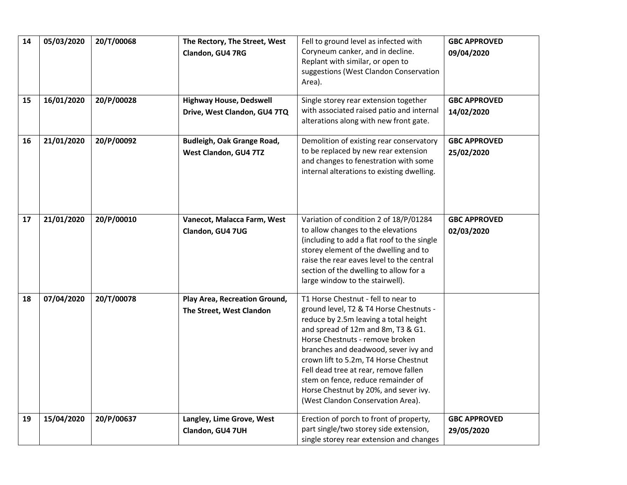| 14 | 05/03/2020 | 20/T/00068 | The Rectory, The Street, West                                  | Fell to ground level as infected with                                                                                                                                                                                                                                                                                                                                                                                                          | <b>GBC APPROVED</b>               |
|----|------------|------------|----------------------------------------------------------------|------------------------------------------------------------------------------------------------------------------------------------------------------------------------------------------------------------------------------------------------------------------------------------------------------------------------------------------------------------------------------------------------------------------------------------------------|-----------------------------------|
|    |            |            | Clandon, GU4 7RG                                               | Coryneum canker, and in decline.<br>Replant with similar, or open to<br>suggestions (West Clandon Conservation<br>Area).                                                                                                                                                                                                                                                                                                                       | 09/04/2020                        |
| 15 | 16/01/2020 | 20/P/00028 | <b>Highway House, Dedswell</b><br>Drive, West Clandon, GU4 7TQ | Single storey rear extension together<br>with associated raised patio and internal<br>alterations along with new front gate.                                                                                                                                                                                                                                                                                                                   | <b>GBC APPROVED</b><br>14/02/2020 |
| 16 | 21/01/2020 | 20/P/00092 | <b>Budleigh, Oak Grange Road,</b><br>West Clandon, GU4 7TZ     | Demolition of existing rear conservatory<br>to be replaced by new rear extension<br>and changes to fenestration with some<br>internal alterations to existing dwelling.                                                                                                                                                                                                                                                                        | <b>GBC APPROVED</b><br>25/02/2020 |
| 17 | 21/01/2020 | 20/P/00010 | Vanecot, Malacca Farm, West<br>Clandon, GU4 7UG                | Variation of condition 2 of 18/P/01284<br>to allow changes to the elevations<br>(including to add a flat roof to the single<br>storey element of the dwelling and to<br>raise the rear eaves level to the central<br>section of the dwelling to allow for a<br>large window to the stairwell).                                                                                                                                                 | <b>GBC APPROVED</b><br>02/03/2020 |
| 18 | 07/04/2020 | 20/T/00078 | Play Area, Recreation Ground,<br>The Street, West Clandon      | T1 Horse Chestnut - fell to near to<br>ground level, T2 & T4 Horse Chestnuts -<br>reduce by 2.5m leaving a total height<br>and spread of 12m and 8m, T3 & G1.<br>Horse Chestnuts - remove broken<br>branches and deadwood, sever ivy and<br>crown lift to 5.2m, T4 Horse Chestnut<br>Fell dead tree at rear, remove fallen<br>stem on fence, reduce remainder of<br>Horse Chestnut by 20%, and sever ivy.<br>(West Clandon Conservation Area). |                                   |
| 19 | 15/04/2020 | 20/P/00637 | Langley, Lime Grove, West<br>Clandon, GU4 7UH                  | Erection of porch to front of property,<br>part single/two storey side extension,<br>single storey rear extension and changes                                                                                                                                                                                                                                                                                                                  | <b>GBC APPROVED</b><br>29/05/2020 |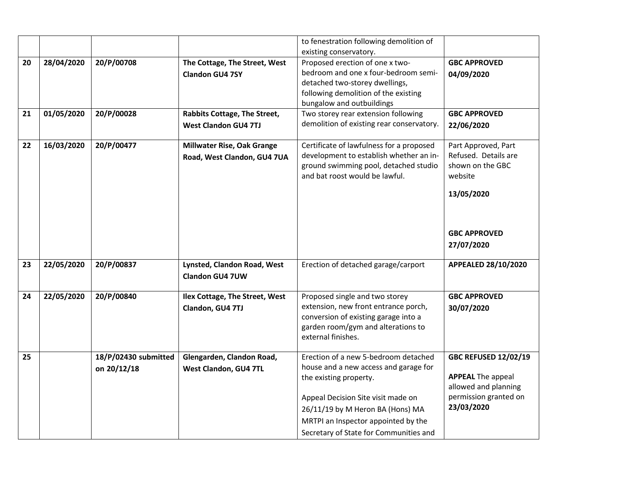|    |            |                      |                                   | to fenestration following demolition of   |                             |
|----|------------|----------------------|-----------------------------------|-------------------------------------------|-----------------------------|
|    |            |                      |                                   | existing conservatory.                    |                             |
| 20 | 28/04/2020 | 20/P/00708           | The Cottage, The Street, West     | Proposed erection of one x two-           | <b>GBC APPROVED</b>         |
|    |            |                      | <b>Clandon GU4 7SY</b>            | bedroom and one x four-bedroom semi-      | 04/09/2020                  |
|    |            |                      |                                   | detached two-storey dwellings,            |                             |
|    |            |                      |                                   | following demolition of the existing      |                             |
|    |            |                      |                                   | bungalow and outbuildings                 |                             |
| 21 | 01/05/2020 | 20/P/00028           | Rabbits Cottage, The Street,      | Two storey rear extension following       | <b>GBC APPROVED</b>         |
|    |            |                      | <b>West Clandon GU4 7TJ</b>       | demolition of existing rear conservatory. | 22/06/2020                  |
| 22 | 16/03/2020 | 20/P/00477           | <b>Millwater Rise, Oak Grange</b> | Certificate of lawfulness for a proposed  | Part Approved, Part         |
|    |            |                      | Road, West Clandon, GU4 7UA       | development to establish whether an in-   | Refused. Details are        |
|    |            |                      |                                   | ground swimming pool, detached studio     | shown on the GBC            |
|    |            |                      |                                   | and bat roost would be lawful.            | website                     |
|    |            |                      |                                   |                                           | 13/05/2020                  |
|    |            |                      |                                   |                                           |                             |
|    |            |                      |                                   |                                           |                             |
|    |            |                      |                                   |                                           | <b>GBC APPROVED</b>         |
|    |            |                      |                                   |                                           | 27/07/2020                  |
|    |            |                      |                                   |                                           |                             |
| 23 | 22/05/2020 | 20/P/00837           | Lynsted, Clandon Road, West       | Erection of detached garage/carport       | APPEALED 28/10/2020         |
|    |            |                      | <b>Clandon GU4 7UW</b>            |                                           |                             |
|    |            |                      |                                   |                                           |                             |
| 24 | 22/05/2020 | 20/P/00840           | Ilex Cottage, The Street, West    | Proposed single and two storey            | <b>GBC APPROVED</b>         |
|    |            |                      | Clandon, GU4 7TJ                  | extension, new front entrance porch,      | 30/07/2020                  |
|    |            |                      |                                   | conversion of existing garage into a      |                             |
|    |            |                      |                                   | garden room/gym and alterations to        |                             |
|    |            |                      |                                   | external finishes.                        |                             |
| 25 |            | 18/P/02430 submitted | Glengarden, Clandon Road,         | Erection of a new 5-bedroom detached      | <b>GBC REFUSED 12/02/19</b> |
|    |            | on 20/12/18          | West Clandon, GU4 7TL             | house and a new access and garage for     |                             |
|    |            |                      |                                   | the existing property.                    | <b>APPEAL The appeal</b>    |
|    |            |                      |                                   |                                           | allowed and planning        |
|    |            |                      |                                   | Appeal Decision Site visit made on        | permission granted on       |
|    |            |                      |                                   | 26/11/19 by M Heron BA (Hons) MA          | 23/03/2020                  |
|    |            |                      |                                   | MRTPI an Inspector appointed by the       |                             |
|    |            |                      |                                   | Secretary of State for Communities and    |                             |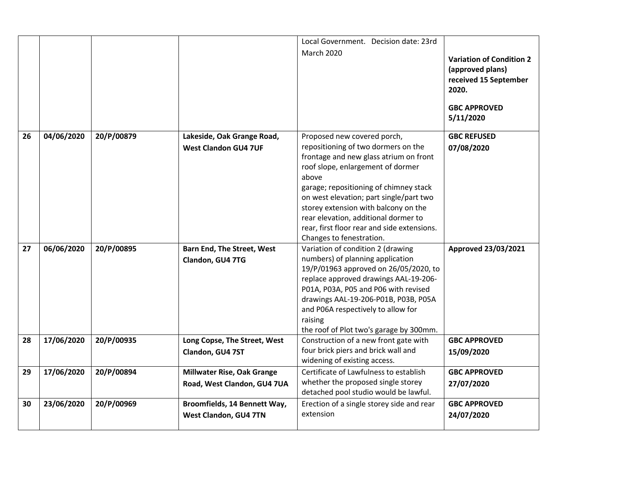|    |            |            |                                                                  | Local Government. Decision date: 23rd                                                                                                                                                                                                                                                                                                                                                                      |                                                                                                                           |
|----|------------|------------|------------------------------------------------------------------|------------------------------------------------------------------------------------------------------------------------------------------------------------------------------------------------------------------------------------------------------------------------------------------------------------------------------------------------------------------------------------------------------------|---------------------------------------------------------------------------------------------------------------------------|
|    |            |            |                                                                  | <b>March 2020</b>                                                                                                                                                                                                                                                                                                                                                                                          | <b>Variation of Condition 2</b><br>(approved plans)<br>received 15 September<br>2020.<br><b>GBC APPROVED</b><br>5/11/2020 |
| 26 | 04/06/2020 | 20/P/00879 | Lakeside, Oak Grange Road,<br><b>West Clandon GU4 7UF</b>        | Proposed new covered porch,<br>repositioning of two dormers on the<br>frontage and new glass atrium on front<br>roof slope, enlargement of dormer<br>above<br>garage; repositioning of chimney stack<br>on west elevation; part single/part two<br>storey extension with balcony on the<br>rear elevation, additional dormer to<br>rear, first floor rear and side extensions.<br>Changes to fenestration. | <b>GBC REFUSED</b><br>07/08/2020                                                                                          |
| 27 | 06/06/2020 | 20/P/00895 | <b>Barn End, The Street, West</b><br>Clandon, GU4 7TG            | Variation of condition 2 (drawing<br>numbers) of planning application<br>19/P/01963 approved on 26/05/2020, to<br>replace approved drawings AAL-19-206-<br>P01A, P03A, P05 and P06 with revised<br>drawings AAL-19-206-P01B, P03B, P05A<br>and P06A respectively to allow for<br>raising<br>the roof of Plot two's garage by 300mm.                                                                        | <b>Approved 23/03/2021</b>                                                                                                |
| 28 | 17/06/2020 | 20/P/00935 | Long Copse, The Street, West<br>Clandon, GU4 7ST                 | Construction of a new front gate with<br>four brick piers and brick wall and<br>widening of existing access.                                                                                                                                                                                                                                                                                               | <b>GBC APPROVED</b><br>15/09/2020                                                                                         |
| 29 | 17/06/2020 | 20/P/00894 | <b>Millwater Rise, Oak Grange</b><br>Road, West Clandon, GU4 7UA | Certificate of Lawfulness to establish<br>whether the proposed single storey<br>detached pool studio would be lawful.                                                                                                                                                                                                                                                                                      | <b>GBC APPROVED</b><br>27/07/2020                                                                                         |
| 30 | 23/06/2020 | 20/P/00969 | Broomfields, 14 Bennett Way,<br>West Clandon, GU4 7TN            | Erection of a single storey side and rear<br>extension                                                                                                                                                                                                                                                                                                                                                     | <b>GBC APPROVED</b><br>24/07/2020                                                                                         |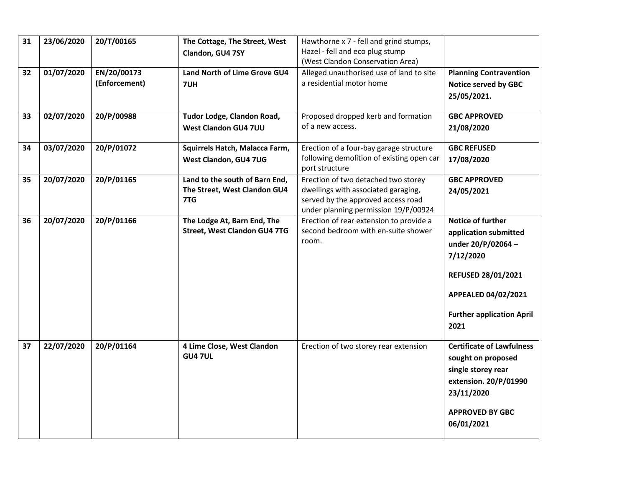| 31 | 23/06/2020 | 20/T/00165    | The Cottage, The Street, West                                  | Hawthorne x 7 - fell and grind stumps,                                     |                                  |
|----|------------|---------------|----------------------------------------------------------------|----------------------------------------------------------------------------|----------------------------------|
|    |            |               | Clandon, GU4 7SY                                               | Hazel - fell and eco plug stump                                            |                                  |
|    |            |               |                                                                | (West Clandon Conservation Area)                                           |                                  |
| 32 | 01/07/2020 | EN/20/00173   | <b>Land North of Lime Grove GU4</b>                            | Alleged unauthorised use of land to site                                   | <b>Planning Contravention</b>    |
|    |            | (Enforcement) | 7UH                                                            | a residential motor home                                                   | <b>Notice served by GBC</b>      |
|    |            |               |                                                                |                                                                            | 25/05/2021.                      |
|    |            |               |                                                                |                                                                            |                                  |
| 33 | 02/07/2020 | 20/P/00988    | Tudor Lodge, Clandon Road,                                     | Proposed dropped kerb and formation                                        | <b>GBC APPROVED</b>              |
|    |            |               | West Clandon GU4 7UU                                           | of a new access.                                                           | 21/08/2020                       |
|    |            |               |                                                                |                                                                            |                                  |
| 34 | 03/07/2020 | 20/P/01072    | Squirrels Hatch, Malacca Farm,                                 | Erection of a four-bay garage structure                                    | <b>GBC REFUSED</b>               |
|    |            |               | West Clandon, GU4 7UG                                          | following demolition of existing open car                                  | 17/08/2020                       |
|    |            |               |                                                                | port structure                                                             |                                  |
| 35 | 20/07/2020 | 20/P/01165    | Land to the south of Barn End,<br>The Street, West Clandon GU4 | Erection of two detached two storey<br>dwellings with associated garaging, | <b>GBC APPROVED</b>              |
|    |            |               | 7TG                                                            | served by the approved access road                                         | 24/05/2021                       |
|    |            |               |                                                                | under planning permission 19/P/00924                                       |                                  |
| 36 | 20/07/2020 | 20/P/01166    | The Lodge At, Barn End, The                                    | Erection of rear extension to provide a                                    | <b>Notice of further</b>         |
|    |            |               | <b>Street, West Clandon GU4 7TG</b>                            | second bedroom with en-suite shower                                        | application submitted            |
|    |            |               |                                                                | room.                                                                      | under 20/P/02064-                |
|    |            |               |                                                                |                                                                            | 7/12/2020                        |
|    |            |               |                                                                |                                                                            |                                  |
|    |            |               |                                                                |                                                                            | <b>REFUSED 28/01/2021</b>        |
|    |            |               |                                                                |                                                                            |                                  |
|    |            |               |                                                                |                                                                            | APPEALED 04/02/2021              |
|    |            |               |                                                                |                                                                            | <b>Further application April</b> |
|    |            |               |                                                                |                                                                            | 2021                             |
|    |            |               |                                                                |                                                                            |                                  |
| 37 | 22/07/2020 | 20/P/01164    | 4 Lime Close, West Clandon                                     | Erection of two storey rear extension                                      | <b>Certificate of Lawfulness</b> |
|    |            |               | <b>GU4 7UL</b>                                                 |                                                                            | sought on proposed               |
|    |            |               |                                                                |                                                                            | single storey rear               |
|    |            |               |                                                                |                                                                            | extension. 20/P/01990            |
|    |            |               |                                                                |                                                                            | 23/11/2020                       |
|    |            |               |                                                                |                                                                            |                                  |
|    |            |               |                                                                |                                                                            | <b>APPROVED BY GBC</b>           |
|    |            |               |                                                                |                                                                            | 06/01/2021                       |
|    |            |               |                                                                |                                                                            |                                  |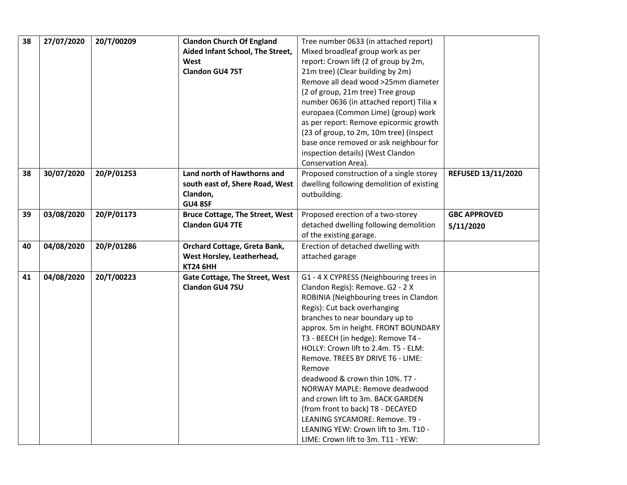| 38 | 27/07/2020 | 20/T/00209 | <b>Clandon Church Of England</b>       | Tree number 0633 (in attached report)                                      |                     |
|----|------------|------------|----------------------------------------|----------------------------------------------------------------------------|---------------------|
|    |            |            | Aided Infant School, The Street,       | Mixed broadleaf group work as per                                          |                     |
|    |            |            | West                                   | report: Crown lift (2 of group by 2m,                                      |                     |
|    |            |            | <b>Clandon GU4 7ST</b>                 | 21m tree) (Clear building by 2m)                                           |                     |
|    |            |            |                                        | Remove all dead wood >25mm diameter                                        |                     |
|    |            |            |                                        | (2 of group, 21m tree) Tree group                                          |                     |
|    |            |            |                                        | number 0636 (in attached report) Tilia x                                   |                     |
|    |            |            |                                        | europaea (Common Lime) (group) work                                        |                     |
|    |            |            |                                        | as per report: Remove epicormic growth                                     |                     |
|    |            |            |                                        | (23 of group, to 2m, 10m tree) (Inspect                                    |                     |
|    |            |            |                                        | base once removed or ask neighbour for                                     |                     |
|    |            |            |                                        | inspection details) (West Clandon                                          |                     |
|    |            |            |                                        | Conservation Area).                                                        |                     |
| 38 | 30/07/2020 | 20/P/01253 | Land north of Hawthorns and            | Proposed construction of a single storey                                   | REFUSED 13/11/2020  |
|    |            |            | south east of, Shere Road, West        | dwelling following demolition of existing                                  |                     |
|    |            |            | Clandon,                               | outbuilding.                                                               |                     |
|    |            |            | GU4 8SF                                |                                                                            |                     |
| 39 | 03/08/2020 | 20/P/01173 | <b>Bruce Cottage, The Street, West</b> | Proposed erection of a two-storey                                          | <b>GBC APPROVED</b> |
|    |            |            | <b>Clandon GU4 7TE</b>                 | detached dwelling following demolition                                     | 5/11/2020           |
|    |            |            |                                        | of the existing garage.                                                    |                     |
| 40 | 04/08/2020 | 20/P/01286 | Orchard Cottage, Greta Bank,           | Erection of detached dwelling with                                         |                     |
|    |            |            | West Horsley, Leatherhead,             | attached garage                                                            |                     |
|    |            |            | <b>KT24 6HH</b>                        |                                                                            |                     |
| 41 | 04/08/2020 | 20/T/00223 | <b>Gate Cottage, The Street, West</b>  | G1 - 4 X CYPRESS (Neighbouring trees in                                    |                     |
|    |            |            | Clandon GU4 7SU                        | Clandon Regis): Remove. G2 - 2 X                                           |                     |
|    |            |            |                                        | ROBINIA (Neighbouring trees in Clandon                                     |                     |
|    |            |            |                                        | Regis): Cut back overhanging                                               |                     |
|    |            |            |                                        | branches to near boundary up to                                            |                     |
|    |            |            |                                        | approx. 5m in height. FRONT BOUNDARY                                       |                     |
|    |            |            |                                        |                                                                            |                     |
|    |            |            |                                        | T3 - BEECH (in hedge): Remove T4 -                                         |                     |
|    |            |            |                                        | HOLLY: Crown lift to 2.4m. T5 - ELM:                                       |                     |
|    |            |            |                                        | Remove. TREES BY DRIVE T6 - LIME:                                          |                     |
|    |            |            |                                        | Remove                                                                     |                     |
|    |            |            |                                        | deadwood & crown thin 10%. T7 -                                            |                     |
|    |            |            |                                        | NORWAY MAPLE: Remove deadwood                                              |                     |
|    |            |            |                                        | and crown lift to 3m. BACK GARDEN                                          |                     |
|    |            |            |                                        | (from front to back) T8 - DECAYED                                          |                     |
|    |            |            |                                        | LEANING SYCAMORE: Remove. T9 -                                             |                     |
|    |            |            |                                        | LEANING YEW: Crown lift to 3m. T10 -<br>LIME: Crown lift to 3m. T11 - YEW: |                     |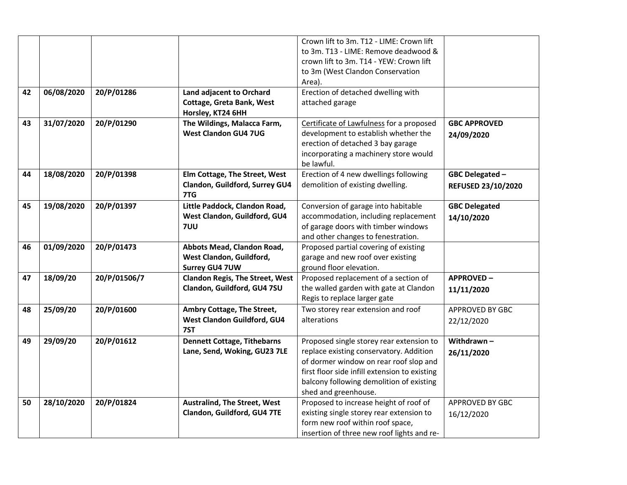|    |            |              |                                        | Crown lift to 3m. T12 - LIME: Crown lift      |                      |
|----|------------|--------------|----------------------------------------|-----------------------------------------------|----------------------|
|    |            |              |                                        | to 3m. T13 - LIME: Remove deadwood &          |                      |
|    |            |              |                                        | crown lift to 3m. T14 - YEW: Crown lift       |                      |
|    |            |              |                                        | to 3m (West Clandon Conservation              |                      |
|    |            |              |                                        | Area).                                        |                      |
| 42 | 06/08/2020 | 20/P/01286   | Land adjacent to Orchard               | Erection of detached dwelling with            |                      |
|    |            |              | Cottage, Greta Bank, West              | attached garage                               |                      |
|    |            |              | Horsley, KT24 6HH                      |                                               |                      |
| 43 | 31/07/2020 | 20/P/01290   | The Wildings, Malacca Farm,            | Certificate of Lawfulness for a proposed      | <b>GBC APPROVED</b>  |
|    |            |              | <b>West Clandon GU4 7UG</b>            | development to establish whether the          | 24/09/2020           |
|    |            |              |                                        | erection of detached 3 bay garage             |                      |
|    |            |              |                                        | incorporating a machinery store would         |                      |
|    |            |              |                                        | be lawful.                                    |                      |
| 44 | 18/08/2020 | 20/P/01398   | Elm Cottage, The Street, West          | Erection of 4 new dwellings following         | GBC Delegated -      |
|    |            |              | Clandon, Guildford, Surrey GU4         | demolition of existing dwelling.              | REFUSED 23/10/2020   |
|    |            |              | 7TG                                    |                                               |                      |
| 45 | 19/08/2020 | 20/P/01397   | Little Paddock, Clandon Road,          | Conversion of garage into habitable           | <b>GBC Delegated</b> |
|    |            |              | West Clandon, Guildford, GU4           | accommodation, including replacement          | 14/10/2020           |
|    |            |              | 7UU                                    | of garage doors with timber windows           |                      |
|    |            |              |                                        | and other changes to fenestration.            |                      |
| 46 | 01/09/2020 | 20/P/01473   | Abbots Mead, Clandon Road,             | Proposed partial covering of existing         |                      |
|    |            |              | West Clandon, Guildford,               | garage and new roof over existing             |                      |
|    |            |              | <b>Surrey GU4 7UW</b>                  | ground floor elevation.                       |                      |
| 47 | 18/09/20   | 20/P/01506/7 | <b>Clandon Regis, The Street, West</b> | Proposed replacement of a section of          | <b>APPROVED-</b>     |
|    |            |              | Clandon, Guildford, GU4 7SU            | the walled garden with gate at Clandon        | 11/11/2020           |
|    |            |              |                                        | Regis to replace larger gate                  |                      |
| 48 | 25/09/20   | 20/P/01600   | Ambry Cottage, The Street,             | Two storey rear extension and roof            | APPROVED BY GBC      |
|    |            |              | West Clandon Guildford, GU4            | alterations                                   | 22/12/2020           |
|    |            |              | 7ST                                    |                                               |                      |
| 49 | 29/09/20   | 20/P/01612   | <b>Dennett Cottage, Tithebarns</b>     | Proposed single storey rear extension to      | Withdrawn-           |
|    |            |              | Lane, Send, Woking, GU23 7LE           | replace existing conservatory. Addition       | 26/11/2020           |
|    |            |              |                                        | of dormer window on rear roof slop and        |                      |
|    |            |              |                                        | first floor side infill extension to existing |                      |
|    |            |              |                                        | balcony following demolition of existing      |                      |
|    |            |              |                                        | shed and greenhouse.                          |                      |
| 50 | 28/10/2020 | 20/P/01824   | <b>Australind, The Street, West</b>    | Proposed to increase height of roof of        | APPROVED BY GBC      |
|    |            |              | Clandon, Guildford, GU4 7TE            | existing single storey rear extension to      | 16/12/2020           |
|    |            |              |                                        | form new roof within roof space,              |                      |
|    |            |              |                                        | insertion of three new roof lights and re-    |                      |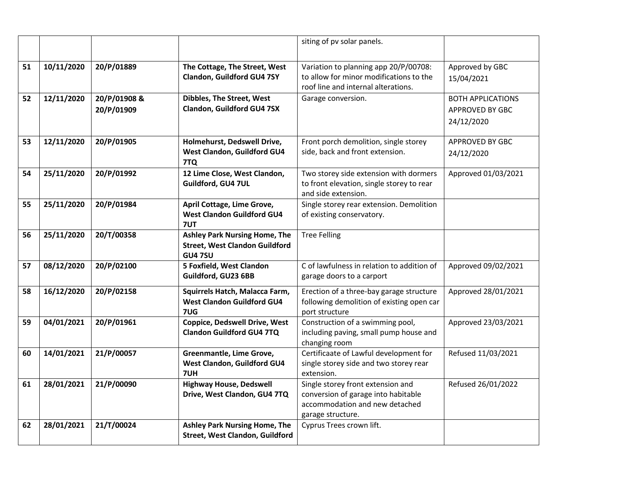|    |            |                            |                                                                                                 | siting of pv solar panels.                                                                                                      |                                                           |
|----|------------|----------------------------|-------------------------------------------------------------------------------------------------|---------------------------------------------------------------------------------------------------------------------------------|-----------------------------------------------------------|
| 51 | 10/11/2020 | 20/P/01889                 | The Cottage, The Street, West<br>Clandon, Guildford GU4 7SY                                     | Variation to planning app 20/P/00708:<br>to allow for minor modifications to the<br>roof line and internal alterations.         | Approved by GBC<br>15/04/2021                             |
| 52 | 12/11/2020 | 20/P/01908 &<br>20/P/01909 | Dibbles, The Street, West<br>Clandon, Guildford GU4 7SX                                         | Garage conversion.                                                                                                              | <b>BOTH APPLICATIONS</b><br>APPROVED BY GBC<br>24/12/2020 |
| 53 | 12/11/2020 | 20/P/01905                 | Holmehurst, Dedswell Drive,<br>West Clandon, Guildford GU4<br>7TQ                               | Front porch demolition, single storey<br>side, back and front extension.                                                        | <b>APPROVED BY GBC</b><br>24/12/2020                      |
| 54 | 25/11/2020 | 20/P/01992                 | 12 Lime Close, West Clandon,<br>Guildford, GU4 7UL                                              | Two storey side extension with dormers<br>to front elevation, single storey to rear<br>and side extension.                      | Approved 01/03/2021                                       |
| 55 | 25/11/2020 | 20/P/01984                 | April Cottage, Lime Grove,<br><b>West Clandon Guildford GU4</b><br>7UT                          | Single storey rear extension. Demolition<br>of existing conservatory.                                                           |                                                           |
| 56 | 25/11/2020 | 20/T/00358                 | <b>Ashley Park Nursing Home, The</b><br><b>Street, West Clandon Guildford</b><br><b>GU4 7SU</b> | <b>Tree Felling</b>                                                                                                             |                                                           |
| 57 | 08/12/2020 | 20/P/02100                 | 5 Foxfield, West Clandon<br>Guildford, GU23 6BB                                                 | C of lawfulness in relation to addition of<br>garage doors to a carport                                                         | Approved 09/02/2021                                       |
| 58 | 16/12/2020 | 20/P/02158                 | Squirrels Hatch, Malacca Farm,<br><b>West Clandon Guildford GU4</b><br>7UG                      | Erection of a three-bay garage structure<br>following demolition of existing open car<br>port structure                         | Approved 28/01/2021                                       |
| 59 | 04/01/2021 | 20/P/01961                 | <b>Coppice, Dedswell Drive, West</b><br><b>Clandon Guildford GU4 7TQ</b>                        | Construction of a swimming pool,<br>including paving, small pump house and<br>changing room                                     | Approved 23/03/2021                                       |
| 60 | 14/01/2021 | 21/P/00057                 | Greenmantle, Lime Grove,<br>West Clandon, Guildford GU4<br>7UH                                  | Certificaate of Lawful development for<br>single storey side and two storey rear<br>extension.                                  | Refused 11/03/2021                                        |
| 61 | 28/01/2021 | 21/P/00090                 | <b>Highway House, Dedswell</b><br>Drive, West Clandon, GU4 7TQ                                  | Single storey front extension and<br>conversion of garage into habitable<br>accommodation and new detached<br>garage structure. | Refused 26/01/2022                                        |
| 62 | 28/01/2021 | 21/T/00024                 | <b>Ashley Park Nursing Home, The</b><br><b>Street, West Clandon, Guildford</b>                  | Cyprus Trees crown lift.                                                                                                        |                                                           |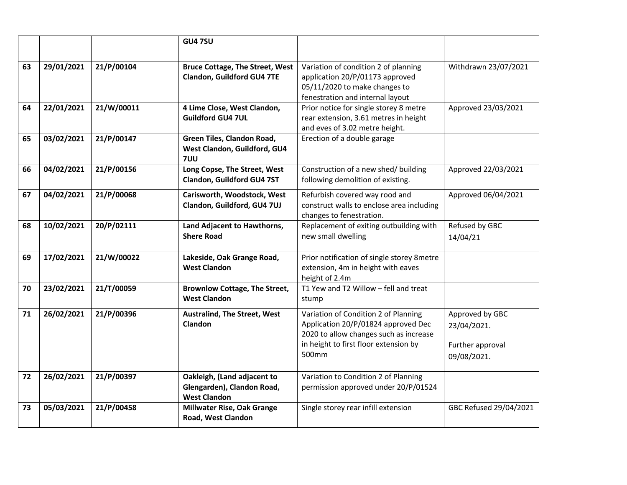|    |            |            | <b>GU47SU</b>                                                                    |                                                                                                                                                                         |                                                                   |
|----|------------|------------|----------------------------------------------------------------------------------|-------------------------------------------------------------------------------------------------------------------------------------------------------------------------|-------------------------------------------------------------------|
| 63 | 29/01/2021 | 21/P/00104 | <b>Bruce Cottage, The Street, West</b><br>Clandon, Guildford GU4 7TE             | Variation of condition 2 of planning<br>application 20/P/01173 approved<br>05/11/2020 to make changes to<br>fenestration and internal layout                            | Withdrawn 23/07/2021                                              |
| 64 | 22/01/2021 | 21/W/00011 | 4 Lime Close, West Clandon,<br><b>Guildford GU4 7UL</b>                          | Prior notice for single storey 8 metre<br>rear extension, 3.61 metres in height<br>and eves of 3.02 metre height.                                                       | Approved 23/03/2021                                               |
| 65 | 03/02/2021 | 21/P/00147 | Green Tiles, Clandon Road,<br>West Clandon, Guildford, GU4<br>7UU                | Erection of a double garage                                                                                                                                             |                                                                   |
| 66 | 04/02/2021 | 21/P/00156 | Long Copse, The Street, West<br>Clandon, Guildford GU4 7ST                       | Construction of a new shed/ building<br>following demolition of existing.                                                                                               | Approved 22/03/2021                                               |
| 67 | 04/02/2021 | 21/P/00068 | Carisworth, Woodstock, West<br>Clandon, Guildford, GU4 7UJ                       | Refurbish covered way rood and<br>construct walls to enclose area including<br>changes to fenestration.                                                                 | Approved 06/04/2021                                               |
| 68 | 10/02/2021 | 20/P/02111 | Land Adjacent to Hawthorns,<br><b>Shere Road</b>                                 | Replacement of exiting outbuilding with<br>new small dwelling                                                                                                           | Refused by GBC<br>14/04/21                                        |
| 69 | 17/02/2021 | 21/W/00022 | Lakeside, Oak Grange Road,<br><b>West Clandon</b>                                | Prior notification of single storey 8metre<br>extension, 4m in height with eaves<br>height of 2.4m                                                                      |                                                                   |
| 70 | 23/02/2021 | 21/T/00059 | <b>Brownlow Cottage, The Street,</b><br><b>West Clandon</b>                      | T1 Yew and T2 Willow - fell and treat<br>stump                                                                                                                          |                                                                   |
| 71 | 26/02/2021 | 21/P/00396 | <b>Australind, The Street, West</b><br>Clandon                                   | Variation of Condition 2 of Planning<br>Application 20/P/01824 approved Dec<br>2020 to allow changes such as increase<br>in height to first floor extension by<br>500mm | Approved by GBC<br>23/04/2021.<br>Further approval<br>09/08/2021. |
| 72 | 26/02/2021 | 21/P/00397 | Oakleigh, (Land adjacent to<br>Glengarden), Clandon Road,<br><b>West Clandon</b> | Variation to Condition 2 of Planning<br>permission approved under 20/P/01524                                                                                            |                                                                   |
| 73 | 05/03/2021 | 21/P/00458 | <b>Millwater Rise, Oak Grange</b><br>Road, West Clandon                          | Single storey rear infill extension                                                                                                                                     | GBC Refused 29/04/2021                                            |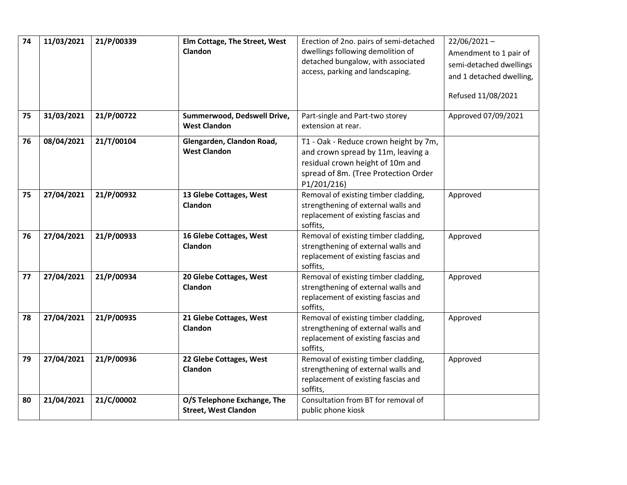| 74 | 11/03/2021 | 21/P/00339 | Elm Cottage, The Street, West<br>Clandon                   | Erection of 2no. pairs of semi-detached<br>dwellings following demolition of<br>detached bungalow, with associated<br>access, parking and landscaping.                 | $22/06/2021 -$<br>Amendment to 1 pair of<br>semi-detached dwellings<br>and 1 detached dwelling,<br>Refused 11/08/2021 |
|----|------------|------------|------------------------------------------------------------|------------------------------------------------------------------------------------------------------------------------------------------------------------------------|-----------------------------------------------------------------------------------------------------------------------|
| 75 | 31/03/2021 | 21/P/00722 | Summerwood, Dedswell Drive,<br><b>West Clandon</b>         | Part-single and Part-two storey<br>extension at rear.                                                                                                                  | Approved 07/09/2021                                                                                                   |
| 76 | 08/04/2021 | 21/T/00104 | Glengarden, Clandon Road,<br><b>West Clandon</b>           | T1 - Oak - Reduce crown height by 7m,<br>and crown spread by 11m, leaving a<br>residual crown height of 10m and<br>spread of 8m. (Tree Protection Order<br>P1/201/216) |                                                                                                                       |
| 75 | 27/04/2021 | 21/P/00932 | 13 Glebe Cottages, West<br>Clandon                         | Removal of existing timber cladding,<br>strengthening of external walls and<br>replacement of existing fascias and<br>soffits,                                         | Approved                                                                                                              |
| 76 | 27/04/2021 | 21/P/00933 | 16 Glebe Cottages, West<br>Clandon                         | Removal of existing timber cladding,<br>strengthening of external walls and<br>replacement of existing fascias and<br>soffits,                                         | Approved                                                                                                              |
| 77 | 27/04/2021 | 21/P/00934 | 20 Glebe Cottages, West<br>Clandon                         | Removal of existing timber cladding,<br>strengthening of external walls and<br>replacement of existing fascias and<br>soffits,                                         | Approved                                                                                                              |
| 78 | 27/04/2021 | 21/P/00935 | 21 Glebe Cottages, West<br>Clandon                         | Removal of existing timber cladding,<br>strengthening of external walls and<br>replacement of existing fascias and<br>soffits,                                         | Approved                                                                                                              |
| 79 | 27/04/2021 | 21/P/00936 | 22 Glebe Cottages, West<br>Clandon                         | Removal of existing timber cladding,<br>strengthening of external walls and<br>replacement of existing fascias and<br>soffits,                                         | Approved                                                                                                              |
| 80 | 21/04/2021 | 21/C/00002 | O/S Telephone Exchange, The<br><b>Street, West Clandon</b> | Consultation from BT for removal of<br>public phone kiosk                                                                                                              |                                                                                                                       |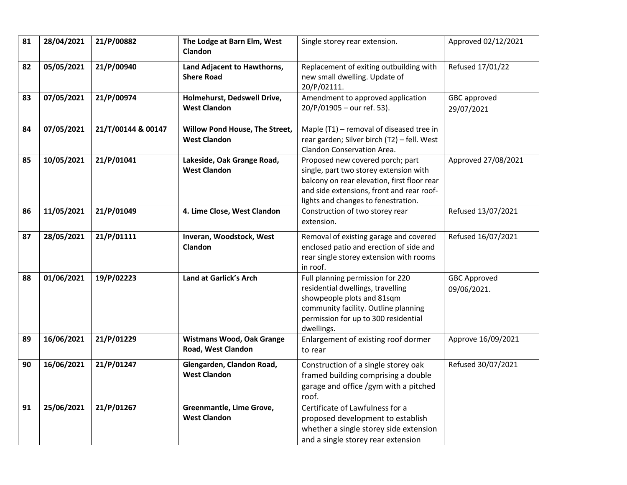| 81 | 28/04/2021 | 21/P/00882         | The Lodge at Barn Elm, West<br>Clandon                 | Single storey rear extension.                                                                                                                                                                                 | Approved 02/12/2021                |
|----|------------|--------------------|--------------------------------------------------------|---------------------------------------------------------------------------------------------------------------------------------------------------------------------------------------------------------------|------------------------------------|
| 82 | 05/05/2021 | 21/P/00940         | Land Adjacent to Hawthorns,<br><b>Shere Road</b>       | Replacement of exiting outbuilding with<br>new small dwelling. Update of<br>20/P/02111.                                                                                                                       | Refused 17/01/22                   |
| 83 | 07/05/2021 | 21/P/00974         | Holmehurst, Dedswell Drive,<br><b>West Clandon</b>     | Amendment to approved application<br>20/P/01905 - our ref. 53).                                                                                                                                               | GBC approved<br>29/07/2021         |
| 84 | 07/05/2021 | 21/T/00144 & 00147 | Willow Pond House, The Street,<br><b>West Clandon</b>  | Maple (T1) - removal of diseased tree in<br>rear garden; Silver birch (T2) - fell. West<br>Clandon Conservation Area.                                                                                         |                                    |
| 85 | 10/05/2021 | 21/P/01041         | Lakeside, Oak Grange Road,<br><b>West Clandon</b>      | Proposed new covered porch; part<br>single, part two storey extension with<br>balcony on rear elevation, first floor rear<br>and side extensions, front and rear roof-<br>lights and changes to fenestration. | Approved 27/08/2021                |
| 86 | 11/05/2021 | 21/P/01049         | 4. Lime Close, West Clandon                            | Construction of two storey rear<br>extension.                                                                                                                                                                 | Refused 13/07/2021                 |
| 87 | 28/05/2021 | 21/P/01111         | Inveran, Woodstock, West<br>Clandon                    | Removal of existing garage and covered<br>enclosed patio and erection of side and<br>rear single storey extension with rooms<br>in roof.                                                                      | Refused 16/07/2021                 |
| 88 | 01/06/2021 | 19/P/02223         | Land at Garlick's Arch                                 | Full planning permission for 220<br>residential dwellings, travelling<br>showpeople plots and 81sqm<br>community facility. Outline planning<br>permission for up to 300 residential<br>dwellings.             | <b>GBC Approved</b><br>09/06/2021. |
| 89 | 16/06/2021 | 21/P/01229         | <b>Wistmans Wood, Oak Grange</b><br>Road, West Clandon | Enlargement of existing roof dormer<br>to rear                                                                                                                                                                | Approve 16/09/2021                 |
| 90 | 16/06/2021 | 21/P/01247         | Glengarden, Clandon Road,<br><b>West Clandon</b>       | Construction of a single storey oak<br>framed building comprising a double<br>garage and office /gym with a pitched<br>roof.                                                                                  | Refused 30/07/2021                 |
| 91 | 25/06/2021 | 21/P/01267         | Greenmantle, Lime Grove,<br><b>West Clandon</b>        | Certificate of Lawfulness for a<br>proposed development to establish<br>whether a single storey side extension<br>and a single storey rear extension                                                          |                                    |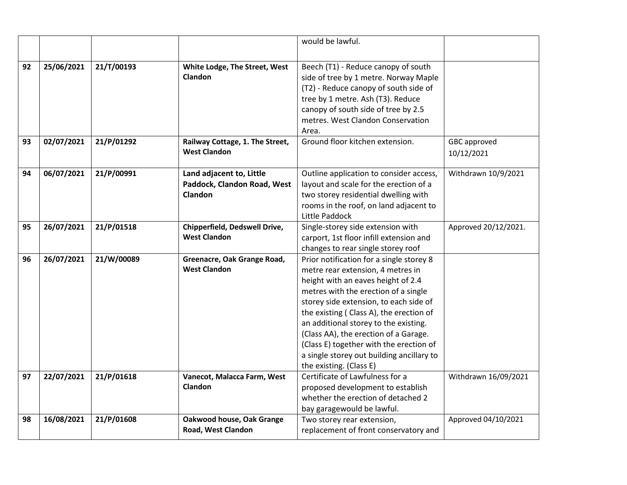|    |            |            |                                 | would be lawful.                                         |                      |
|----|------------|------------|---------------------------------|----------------------------------------------------------|----------------------|
|    |            |            |                                 |                                                          |                      |
| 92 | 25/06/2021 | 21/T/00193 | White Lodge, The Street, West   | Beech (T1) - Reduce canopy of south                      |                      |
|    |            |            | Clandon                         | side of tree by 1 metre. Norway Maple                    |                      |
|    |            |            |                                 | (T2) - Reduce canopy of south side of                    |                      |
|    |            |            |                                 | tree by 1 metre. Ash (T3). Reduce                        |                      |
|    |            |            |                                 | canopy of south side of tree by 2.5                      |                      |
|    |            |            |                                 | metres. West Clandon Conservation                        |                      |
|    |            |            |                                 | Area.                                                    |                      |
| 93 | 02/07/2021 | 21/P/01292 | Railway Cottage, 1. The Street, | Ground floor kitchen extension.                          | GBC approved         |
|    |            |            | <b>West Clandon</b>             |                                                          | 10/12/2021           |
|    |            |            |                                 |                                                          |                      |
| 94 | 06/07/2021 | 21/P/00991 | Land adjacent to, Little        | Outline application to consider access,                  | Withdrawn 10/9/2021  |
|    |            |            | Paddock, Clandon Road, West     | layout and scale for the erection of a                   |                      |
|    |            |            | Clandon                         | two storey residential dwelling with                     |                      |
|    |            |            |                                 | rooms in the roof, on land adjacent to<br>Little Paddock |                      |
| 95 | 26/07/2021 | 21/P/01518 | Chipperfield, Dedswell Drive,   | Single-storey side extension with                        | Approved 20/12/2021. |
|    |            |            | <b>West Clandon</b>             | carport, 1st floor infill extension and                  |                      |
|    |            |            |                                 | changes to rear single storey roof                       |                      |
| 96 | 26/07/2021 | 21/W/00089 | Greenacre, Oak Grange Road,     | Prior notification for a single storey 8                 |                      |
|    |            |            | <b>West Clandon</b>             | metre rear extension, 4 metres in                        |                      |
|    |            |            |                                 | height with an eaves height of 2.4                       |                      |
|    |            |            |                                 | metres with the erection of a single                     |                      |
|    |            |            |                                 | storey side extension, to each side of                   |                      |
|    |            |            |                                 | the existing (Class A), the erection of                  |                      |
|    |            |            |                                 | an additional storey to the existing.                    |                      |
|    |            |            |                                 | (Class AA), the erection of a Garage.                    |                      |
|    |            |            |                                 | (Class E) together with the erection of                  |                      |
|    |            |            |                                 | a single storey out building ancillary to                |                      |
|    |            |            |                                 | the existing. (Class E)                                  |                      |
| 97 | 22/07/2021 | 21/P/01618 | Vanecot, Malacca Farm, West     | Certificate of Lawfulness for a                          | Withdrawn 16/09/2021 |
|    |            |            | <b>Clandon</b>                  | proposed development to establish                        |                      |
|    |            |            |                                 | whether the erection of detached 2                       |                      |
|    |            |            |                                 | bay garagewould be lawful.                               |                      |
| 98 | 16/08/2021 | 21/P/01608 | Oakwood house, Oak Grange       | Two storey rear extension,                               | Approved 04/10/2021  |
|    |            |            | Road, West Clandon              | replacement of front conservatory and                    |                      |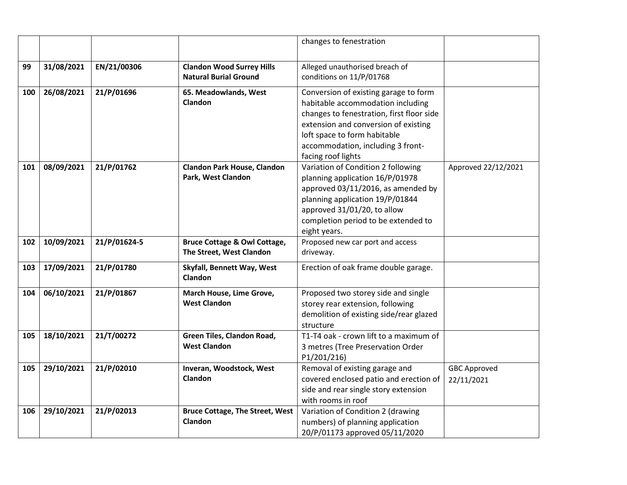|     |            |              |                                                                     | changes to fenestration                                                                                                                                                                                                                                    |                                   |
|-----|------------|--------------|---------------------------------------------------------------------|------------------------------------------------------------------------------------------------------------------------------------------------------------------------------------------------------------------------------------------------------------|-----------------------------------|
| 99  | 31/08/2021 | EN/21/00306  | <b>Clandon Wood Surrey Hills</b><br><b>Natural Burial Ground</b>    | Alleged unauthorised breach of<br>conditions on 11/P/01768                                                                                                                                                                                                 |                                   |
| 100 | 26/08/2021 | 21/P/01696   | 65. Meadowlands, West<br><b>Clandon</b>                             | Conversion of existing garage to form<br>habitable accommodation including<br>changes to fenestration, first floor side<br>extension and conversion of existing<br>loft space to form habitable<br>accommodation, including 3 front-<br>facing roof lights |                                   |
| 101 | 08/09/2021 | 21/P/01762   | <b>Clandon Park House, Clandon</b><br>Park, West Clandon            | Variation of Condition 2 following<br>planning application 16/P/01978<br>approved 03/11/2016, as amended by<br>planning application 19/P/01844<br>approved 31/01/20, to allow<br>completion period to be extended to<br>eight years.                       | Approved 22/12/2021               |
| 102 | 10/09/2021 | 21/P/01624-5 | <b>Bruce Cottage &amp; Owl Cottage,</b><br>The Street, West Clandon | Proposed new car port and access<br>driveway.                                                                                                                                                                                                              |                                   |
| 103 | 17/09/2021 | 21/P/01780   | Skyfall, Bennett Way, West<br>Clandon                               | Erection of oak frame double garage.                                                                                                                                                                                                                       |                                   |
| 104 | 06/10/2021 | 21/P/01867   | March House, Lime Grove,<br><b>West Clandon</b>                     | Proposed two storey side and single<br>storey rear extension, following<br>demolition of existing side/rear glazed<br>structure                                                                                                                            |                                   |
| 105 | 18/10/2021 | 21/T/00272   | Green Tiles, Clandon Road,<br><b>West Clandon</b>                   | T1-T4 oak - crown lift to a maximum of<br>3 metres (Tree Preservation Order<br>P1/201/216)                                                                                                                                                                 |                                   |
| 105 | 29/10/2021 | 21/P/02010   | Inveran, Woodstock, West<br><b>Clandon</b>                          | Removal of existing garage and<br>covered enclosed patio and erection of<br>side and rear single story extension<br>with rooms in roof                                                                                                                     | <b>GBC Approved</b><br>22/11/2021 |
| 106 | 29/10/2021 | 21/P/02013   | <b>Bruce Cottage, The Street, West</b><br>Clandon                   | Variation of Condition 2 (drawing<br>numbers) of planning application<br>20/P/01173 approved 05/11/2020                                                                                                                                                    |                                   |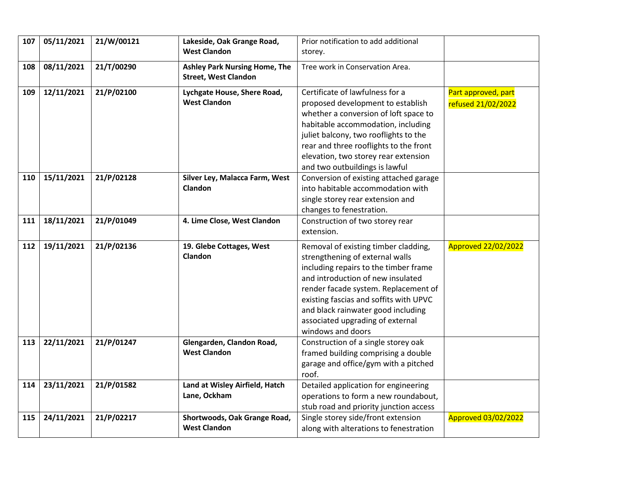| 107 | 05/11/2021 | 21/W/00121 | Lakeside, Oak Grange Road,<br><b>West Clandon</b>                   | Prior notification to add additional<br>storey.                                                                                                                                                                                                                                                                  |                                           |
|-----|------------|------------|---------------------------------------------------------------------|------------------------------------------------------------------------------------------------------------------------------------------------------------------------------------------------------------------------------------------------------------------------------------------------------------------|-------------------------------------------|
| 108 | 08/11/2021 | 21/T/00290 | <b>Ashley Park Nursing Home, The</b><br><b>Street, West Clandon</b> | Tree work in Conservation Area.                                                                                                                                                                                                                                                                                  |                                           |
| 109 | 12/11/2021 | 21/P/02100 | Lychgate House, Shere Road,<br><b>West Clandon</b>                  | Certificate of lawfulness for a<br>proposed development to establish<br>whether a conversion of loft space to<br>habitable accommodation, including<br>juliet balcony, two rooflights to the<br>rear and three rooflights to the front<br>elevation, two storey rear extension<br>and two outbuildings is lawful | Part approved, part<br>refused 21/02/2022 |
| 110 | 15/11/2021 | 21/P/02128 | Silver Ley, Malacca Farm, West<br>Clandon                           | Conversion of existing attached garage<br>into habitable accommodation with<br>single storey rear extension and<br>changes to fenestration.                                                                                                                                                                      |                                           |
| 111 | 18/11/2021 | 21/P/01049 | 4. Lime Close, West Clandon                                         | Construction of two storey rear<br>extension.                                                                                                                                                                                                                                                                    |                                           |
| 112 | 19/11/2021 | 21/P/02136 | 19. Glebe Cottages, West<br>Clandon                                 | Removal of existing timber cladding,<br>strengthening of external walls<br>including repairs to the timber frame                                                                                                                                                                                                 | <b>Approved 22/02/2022</b>                |
|     |            |            |                                                                     | and introduction of new insulated<br>render facade system. Replacement of<br>existing fascias and soffits with UPVC<br>and black rainwater good including<br>associated upgrading of external<br>windows and doors                                                                                               |                                           |
| 113 | 22/11/2021 | 21/P/01247 | Glengarden, Clandon Road,<br><b>West Clandon</b>                    | Construction of a single storey oak<br>framed building comprising a double<br>garage and office/gym with a pitched<br>roof.                                                                                                                                                                                      |                                           |
| 114 | 23/11/2021 | 21/P/01582 | Land at Wisley Airfield, Hatch<br>Lane, Ockham                      | Detailed application for engineering<br>operations to form a new roundabout,<br>stub road and priority junction access                                                                                                                                                                                           |                                           |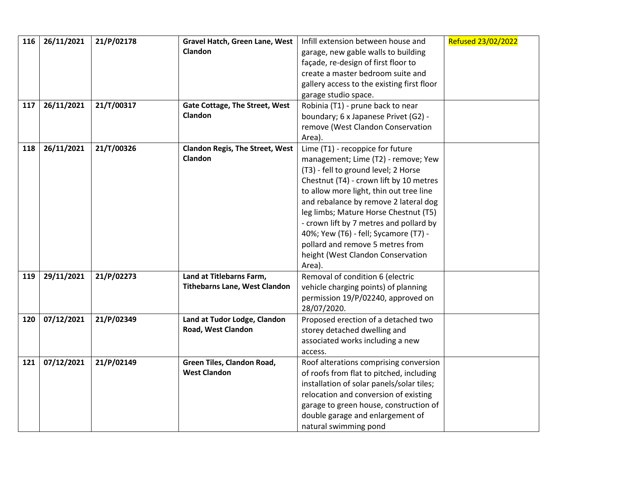| 116 | 26/11/2021 | 21/P/02178 | Gravel Hatch, Green Lane, West         | Infill extension between house and         | Refused 23/02/2022 |
|-----|------------|------------|----------------------------------------|--------------------------------------------|--------------------|
|     |            |            | Clandon                                | garage, new gable walls to building        |                    |
|     |            |            |                                        | façade, re-design of first floor to        |                    |
|     |            |            |                                        | create a master bedroom suite and          |                    |
|     |            |            |                                        | gallery access to the existing first floor |                    |
|     |            |            |                                        | garage studio space.                       |                    |
| 117 | 26/11/2021 | 21/T/00317 | Gate Cottage, The Street, West         | Robinia (T1) - prune back to near          |                    |
|     |            |            | <b>Clandon</b>                         | boundary; 6 x Japanese Privet (G2) -       |                    |
|     |            |            |                                        | remove (West Clandon Conservation          |                    |
|     |            |            |                                        | Area).                                     |                    |
| 118 | 26/11/2021 | 21/T/00326 | <b>Clandon Regis, The Street, West</b> | Lime (T1) - recoppice for future           |                    |
|     |            |            | <b>Clandon</b>                         | management; Lime (T2) - remove; Yew        |                    |
|     |            |            |                                        | (T3) - fell to ground level; 2 Horse       |                    |
|     |            |            |                                        | Chestnut (T4) - crown lift by 10 metres    |                    |
|     |            |            |                                        | to allow more light, thin out tree line    |                    |
|     |            |            |                                        | and rebalance by remove 2 lateral dog      |                    |
|     |            |            |                                        | leg limbs; Mature Horse Chestnut (T5)      |                    |
|     |            |            |                                        | - crown lift by 7 metres and pollard by    |                    |
|     |            |            |                                        | 40%; Yew (T6) - fell; Sycamore (T7) -      |                    |
|     |            |            |                                        | pollard and remove 5 metres from           |                    |
|     |            |            |                                        | height (West Clandon Conservation          |                    |
|     |            |            |                                        | Area).                                     |                    |
| 119 | 29/11/2021 | 21/P/02273 | Land at Titlebarns Farm,               | Removal of condition 6 (electric           |                    |
|     |            |            | <b>Tithebarns Lane, West Clandon</b>   | vehicle charging points) of planning       |                    |
|     |            |            |                                        | permission 19/P/02240, approved on         |                    |
|     |            |            |                                        | 28/07/2020.                                |                    |
| 120 | 07/12/2021 | 21/P/02349 | Land at Tudor Lodge, Clandon           | Proposed erection of a detached two        |                    |
|     |            |            | Road, West Clandon                     | storey detached dwelling and               |                    |
|     |            |            |                                        | associated works including a new           |                    |
|     |            |            |                                        | access.                                    |                    |
| 121 | 07/12/2021 | 21/P/02149 | Green Tiles, Clandon Road,             | Roof alterations comprising conversion     |                    |
|     |            |            | <b>West Clandon</b>                    | of roofs from flat to pitched, including   |                    |
|     |            |            |                                        | installation of solar panels/solar tiles;  |                    |
|     |            |            |                                        | relocation and conversion of existing      |                    |
|     |            |            |                                        | garage to green house, construction of     |                    |
|     |            |            |                                        | double garage and enlargement of           |                    |
|     |            |            |                                        | natural swimming pond                      |                    |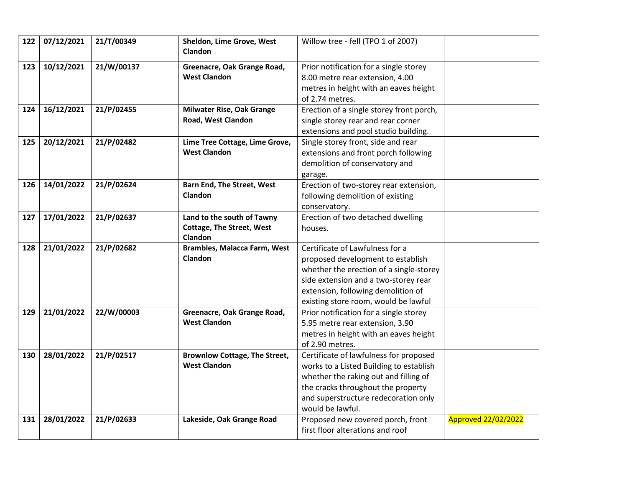| 122 | 07/12/2021 | 21/T/00349 | Sheldon, Lime Grove, West<br>Clandon | Willow tree - fell (TPO 1 of 2007)       |                            |
|-----|------------|------------|--------------------------------------|------------------------------------------|----------------------------|
| 123 | 10/12/2021 | 21/W/00137 | Greenacre, Oak Grange Road,          | Prior notification for a single storey   |                            |
|     |            |            | <b>West Clandon</b>                  | 8.00 metre rear extension, 4.00          |                            |
|     |            |            |                                      | metres in height with an eaves height    |                            |
|     |            |            |                                      | of 2.74 metres.                          |                            |
| 124 | 16/12/2021 | 21/P/02455 | <b>Milwater Rise, Oak Grange</b>     | Erection of a single storey front porch, |                            |
|     |            |            | Road, West Clandon                   | single storey rear and rear corner       |                            |
|     |            |            |                                      | extensions and pool studio building.     |                            |
| 125 | 20/12/2021 | 21/P/02482 | Lime Tree Cottage, Lime Grove,       | Single storey front, side and rear       |                            |
|     |            |            | <b>West Clandon</b>                  | extensions and front porch following     |                            |
|     |            |            |                                      | demolition of conservatory and           |                            |
|     |            |            |                                      | garage.                                  |                            |
| 126 | 14/01/2022 | 21/P/02624 | <b>Barn End, The Street, West</b>    | Erection of two-storey rear extension,   |                            |
|     |            |            | <b>Clandon</b>                       | following demolition of existing         |                            |
|     |            |            |                                      | conservatory.                            |                            |
| 127 | 17/01/2022 | 21/P/02637 | Land to the south of Tawny           | Erection of two detached dwelling        |                            |
|     |            |            | <b>Cottage, The Street, West</b>     | houses.                                  |                            |
|     |            |            | Clandon                              |                                          |                            |
| 128 | 21/01/2022 | 21/P/02682 | <b>Brambles, Malacca Farm, West</b>  | Certificate of Lawfulness for a          |                            |
|     |            |            | Clandon                              | proposed development to establish        |                            |
|     |            |            |                                      | whether the erection of a single-storey  |                            |
|     |            |            |                                      | side extension and a two-storey rear     |                            |
|     |            |            |                                      | extension, following demolition of       |                            |
|     |            |            |                                      | existing store room, would be lawful     |                            |
| 129 | 21/01/2022 | 22/W/00003 | Greenacre, Oak Grange Road,          | Prior notification for a single storey   |                            |
|     |            |            | <b>West Clandon</b>                  | 5.95 metre rear extension, 3.90          |                            |
|     |            |            |                                      | metres in height with an eaves height    |                            |
|     |            |            |                                      | of 2.90 metres.                          |                            |
| 130 | 28/01/2022 | 21/P/02517 | <b>Brownlow Cottage, The Street,</b> | Certificate of lawfulness for proposed   |                            |
|     |            |            | <b>West Clandon</b>                  | works to a Listed Building to establish  |                            |
|     |            |            |                                      | whether the raking out and filling of    |                            |
|     |            |            |                                      | the cracks throughout the property       |                            |
|     |            |            |                                      | and superstructure redecoration only     |                            |
|     |            |            |                                      | would be lawful.                         |                            |
| 131 | 28/01/2022 | 21/P/02633 | Lakeside, Oak Grange Road            | Proposed new covered porch, front        | <b>Approved 22/02/2022</b> |
|     |            |            |                                      | first floor alterations and roof         |                            |